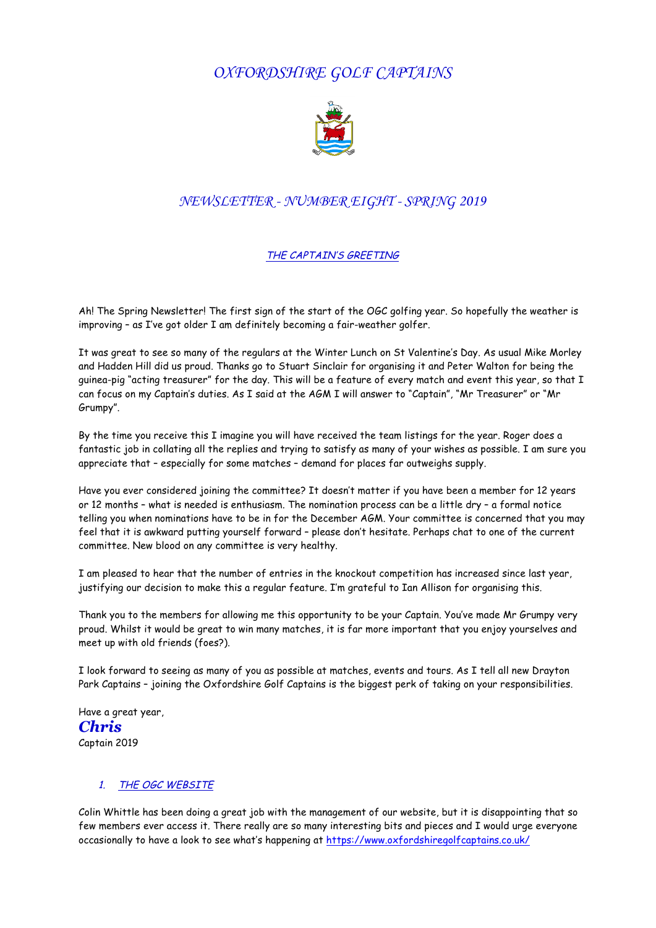# *OXFORDSHIRE GOLF CAPTAINS*



## *NEWSLETTER - NUMBER EIGHT - SPRING 2019*

#### THE CAPTAIN'S GREETING

Ah! The Spring Newsletter! The first sign of the start of the OGC golfing year. So hopefully the weather is improving – as I've got older I am definitely becoming a fair-weather golfer.

It was great to see so many of the regulars at the Winter Lunch on St Valentine's Day. As usual Mike Morley and Hadden Hill did us proud. Thanks go to Stuart Sinclair for organising it and Peter Walton for being the guinea-pig "acting treasurer" for the day. This will be a feature of every match and event this year, so that I can focus on my Captain's duties. As I said at the AGM I will answer to "Captain", "Mr Treasurer" or "Mr Grumpy".

By the time you receive this I imagine you will have received the team listings for the year. Roger does a fantastic job in collating all the replies and trying to satisfy as many of your wishes as possible. I am sure you appreciate that – especially for some matches – demand for places far outweighs supply.

Have you ever considered joining the committee? It doesn't matter if you have been a member for 12 years or 12 months – what is needed is enthusiasm. The nomination process can be a little dry – a formal notice telling you when nominations have to be in for the December AGM. Your committee is concerned that you may feel that it is awkward putting yourself forward – please don't hesitate. Perhaps chat to one of the current committee. New blood on any committee is very healthy.

I am pleased to hear that the number of entries in the knockout competition has increased since last year, justifying our decision to make this a regular feature. I'm grateful to Ian Allison for organising this.

Thank you to the members for allowing me this opportunity to be your Captain. You've made Mr Grumpy very proud. Whilst it would be great to win many matches, it is far more important that you enjoy yourselves and meet up with old friends (foes?).

I look forward to seeing as many of you as possible at matches, events and tours. As I tell all new Drayton Park Captains - joining the Oxfordshire Golf Captains is the biggest perk of taking on your responsibilities.

Have a great year, *Chris* Captain 2019

### 1. THE OGC WEBSITE

Colin Whittle has been doing a great job with the management of our website, but it is disappointing that so few members ever access it. There really are so many interesting bits and pieces and I would urge everyone occasionally to have a look to see what's happening at https://www.oxfordshiregolfcaptains.co.uk/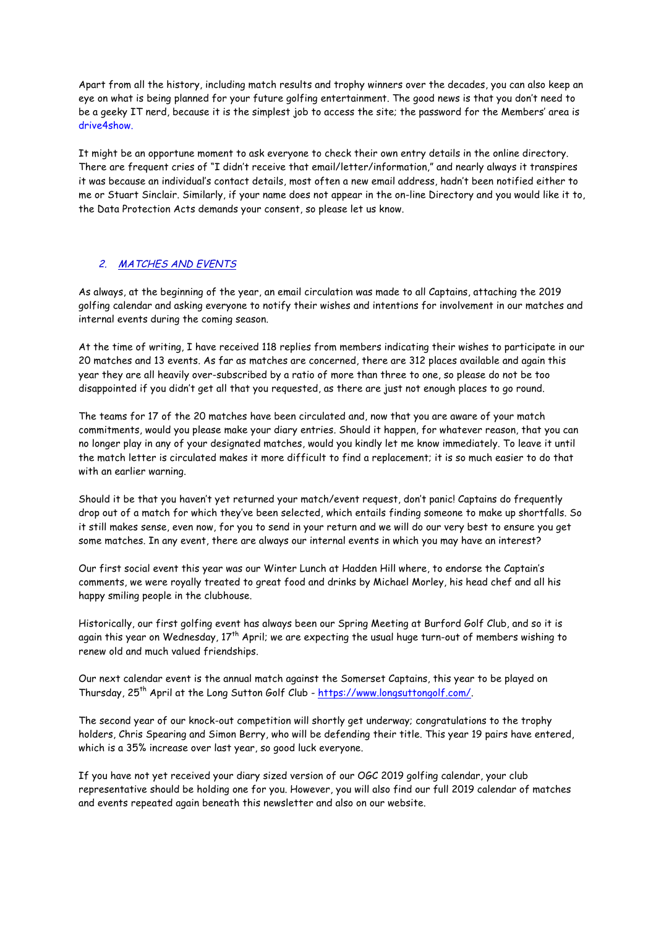Apart from all the history, including match results and trophy winners over the decades, you can also keep an eye on what is being planned for your future golfing entertainment. The good news is that you don't need to be a geeky IT nerd, because it is the simplest job to access the site; the password for the Members' area is drive4show.

It might be an opportune moment to ask everyone to check their own entry details in the online directory. There are frequent cries of "I didn't receive that email/letter/information," and nearly always it transpires it was because an individual's contact details, most often a new email address, hadn't been notified either to me or Stuart Sinclair. Similarly, if your name does not appear in the on-line Directory and you would like it to, the Data Protection Acts demands your consent, so please let us know.

#### 2. MATCHES AND EVENTS

As always, at the beginning of the year, an email circulation was made to all Captains, attaching the 2019 golfing calendar and asking everyone to notify their wishes and intentions for involvement in our matches and internal events during the coming season.

At the time of writing, I have received 118 replies from members indicating their wishes to participate in our 20 matches and 13 events. As far as matches are concerned, there are 312 places available and again this year they are all heavily over-subscribed by a ratio of more than three to one, so please do not be too disappointed if you didn't get all that you requested, as there are just not enough places to go round.

The teams for 17 of the 20 matches have been circulated and, now that you are aware of your match commitments, would you please make your diary entries. Should it happen, for whatever reason, that you can no longer play in any of your designated matches, would you kindly let me know immediately. To leave it until the match letter is circulated makes it more difficult to find a replacement; it is so much easier to do that with an earlier warning.

Should it be that you haven't yet returned your match/event request, don't panic! Captains do frequently drop out of a match for which they've been selected, which entails finding someone to make up shortfalls. So it still makes sense, even now, for you to send in your return and we will do our very best to ensure you get some matches. In any event, there are always our internal events in which you may have an interest?

Our first social event this year was our Winter Lunch at Hadden Hill where, to endorse the Captain's comments, we were royally treated to great food and drinks by Michael Morley, his head chef and all his happy smiling people in the clubhouse.

Historically, our first golfing event has always been our Spring Meeting at Burford Golf Club, and so it is again this year on Wednesday,  $17^{th}$  April; we are expecting the usual huge turn-out of members wishing to renew old and much valued friendships.

Our next calendar event is the annual match against the Somerset Captains, this year to be played on Thursday, 25th April at the Long Sutton Golf Club - https://www.longsuttongolf.com/.

The second year of our knock-out competition will shortly get underway; congratulations to the trophy holders, Chris Spearing and Simon Berry, who will be defending their title. This year 19 pairs have entered, which is a 35% increase over last year, so good luck everyone.

If you have not yet received your diary sized version of our OGC 2019 golfing calendar, your club representative should be holding one for you. However, you will also find our full 2019 calendar of matches and events repeated again beneath this newsletter and also on our website.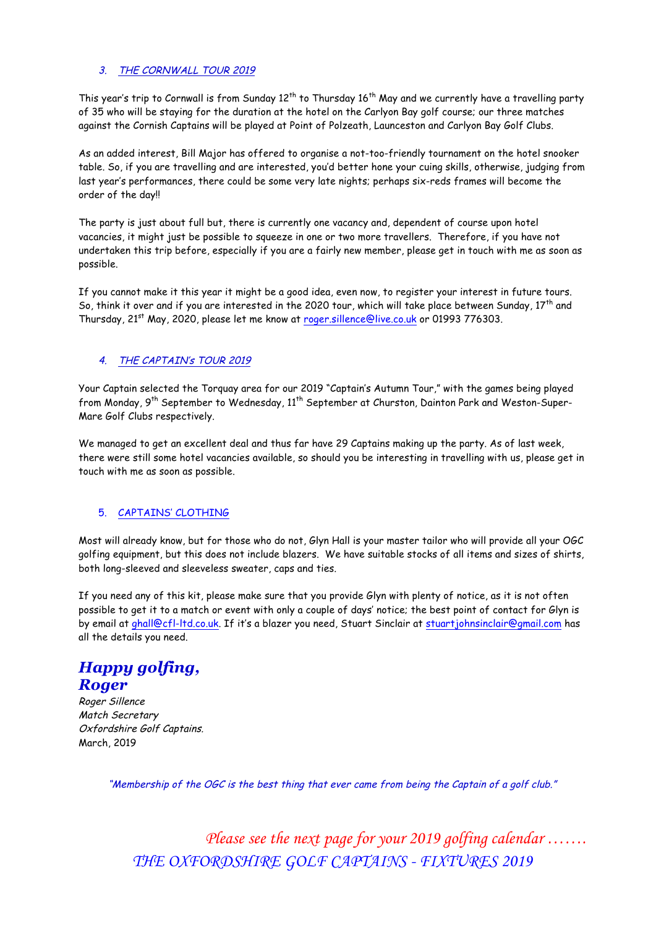#### 3. THE CORNWALL TOUR 2019

This year's trip to Cornwall is from Sunday  $12^{th}$  to Thursday  $16^{th}$  May and we currently have a travelling party of 35 who will be staying for the duration at the hotel on the Carlyon Bay golf course; our three matches against the Cornish Captains will be played at Point of Polzeath, Launceston and Carlyon Bay Golf Clubs.

As an added interest, Bill Major has offered to organise a not-too-friendly tournament on the hotel snooker table. So, if you are travelling and are interested, you'd better hone your cuing skills, otherwise, judging from last year's performances, there could be some very late nights; perhaps six-reds frames will become the order of the day!!

The party is just about full but, there is currently one vacancy and, dependent of course upon hotel vacancies, it might just be possible to squeeze in one or two more travellers. Therefore, if you have not undertaken this trip before, especially if you are a fairly new member, please get in touch with me as soon as possible.

If you cannot make it this year it might be a good idea, even now, to register your interest in future tours. So, think it over and if you are interested in the 2020 tour, which will take place between Sunday,  $17^{th}$  and Thursday, 21<sup>st</sup> May, 2020, please let me know at roger.sillence@live.co.uk or 01993 776303.

#### 4. THE CAPTAIN's TOUR 2019

Your Captain selected the Torquay area for our 2019 "Captain's Autumn Tour," with the games being played from Monday, 9<sup>th</sup> September to Wednesday, 11<sup>th</sup> September at Churston, Dainton Park and Weston-Super-Mare Golf Clubs respectively.

We managed to get an excellent deal and thus far have 29 Captains making up the party. As of last week, there were still some hotel vacancies available, so should you be interesting in travelling with us, please get in touch with me as soon as possible.

### 5. CAPTAINS' CLOTHING

Most will already know, but for those who do not, Glyn Hall is your master tailor who will provide all your OGC golfing equipment, but this does not include blazers. We have suitable stocks of all items and sizes of shirts, both long-sleeved and sleeveless sweater, caps and ties.

If you need any of this kit, please make sure that you provide Glyn with plenty of notice, as it is not often possible to get it to a match or event with only a couple of days' notice; the best point of contact for Glyn is by email at ghall@cfl-ltd.co.uk. If it's a blazer you need, Stuart Sinclair at stuartjohnsinclair@gmail.com has all the details you need.

# *Happy golfing, Roger*

Roger Sillence Match Secretary Oxfordshire Golf Captains. March, 2019

"Membership of the OGC is the best thing that ever came from being the Captain of a golf club."

*Please see the next page for your 2019 golfing calendar ……. THE OXFORDSHIRE GOLF CAPTAINS - FIXTURES 2019*